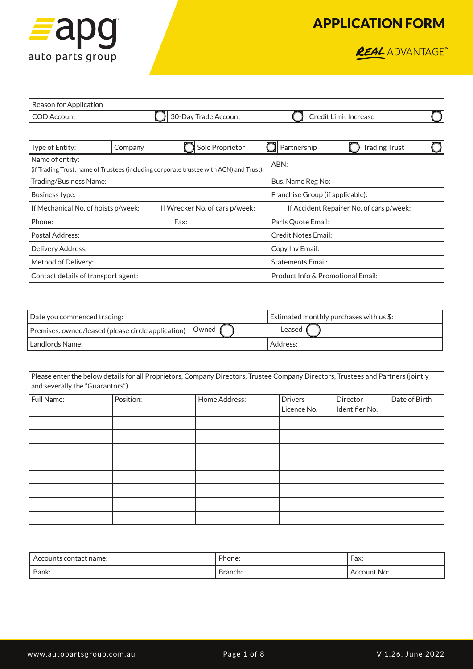

REAL ADVANTAGE

| Reason for Application |                         |                       |  |
|------------------------|-------------------------|-----------------------|--|
| COD Account            | Il 30-Day Trade Account | Credit Limit Increase |  |

| Type of Entity:                                                                                          | Company | Sole Proprietor |                                          | Partnership                      |  | <b>Trading Trust</b> |  |
|----------------------------------------------------------------------------------------------------------|---------|-----------------|------------------------------------------|----------------------------------|--|----------------------|--|
| Name of entity:<br>(if Trading Trust, name of Trustees (including corporate trustee with ACN) and Trust) |         |                 | ABN:                                     |                                  |  |                      |  |
| Trading/Business Name:                                                                                   |         |                 |                                          | Bus. Name Reg No:                |  |                      |  |
| Business type:                                                                                           |         |                 |                                          | Franchise Group (if applicable): |  |                      |  |
| If Mechanical No. of hoists p/week:<br>If Wrecker No. of cars p/week:                                    |         |                 | If Accident Repairer No. of cars p/week: |                                  |  |                      |  |
| Phone:<br>Fax:                                                                                           |         |                 |                                          | Parts Quote Email:               |  |                      |  |
| Postal Address:                                                                                          |         |                 | <b>Credit Notes Email:</b>               |                                  |  |                      |  |
| Delivery Address:                                                                                        |         |                 | Copy Inv Email:                          |                                  |  |                      |  |
| Method of Delivery:                                                                                      |         |                 | <b>Statements Email:</b>                 |                                  |  |                      |  |
| Contact details of transport agent:                                                                      |         |                 | Product Info & Promotional Email:        |                                  |  |                      |  |

| Date you commenced trading:                                 | Estimated monthly purchases with us $\frac{1}{2}$ : |
|-------------------------------------------------------------|-----------------------------------------------------|
| Premises: owned/leased (please circle application)  Owned , | Leased                                              |
| l Landlords Name:                                           | Address:                                            |

| Please enter the below details for all Proprietors, Company Directors, Trustee Company Directors, Trustees and Partners (jointly<br>and severally the "Guarantors") |           |               |                               |                            |               |
|---------------------------------------------------------------------------------------------------------------------------------------------------------------------|-----------|---------------|-------------------------------|----------------------------|---------------|
| Full Name:                                                                                                                                                          | Position: | Home Address: | <b>Drivers</b><br>Licence No. | Director<br>Identifier No. | Date of Birth |
|                                                                                                                                                                     |           |               |                               |                            |               |
|                                                                                                                                                                     |           |               |                               |                            |               |
|                                                                                                                                                                     |           |               |                               |                            |               |
|                                                                                                                                                                     |           |               |                               |                            |               |
|                                                                                                                                                                     |           |               |                               |                            |               |
|                                                                                                                                                                     |           |               |                               |                            |               |
|                                                                                                                                                                     |           |               |                               |                            |               |
|                                                                                                                                                                     |           |               |                               |                            |               |

| Accounts contact name: | Phone:  | Fax:        |
|------------------------|---------|-------------|
| Bank:                  | Branch: | Account No: |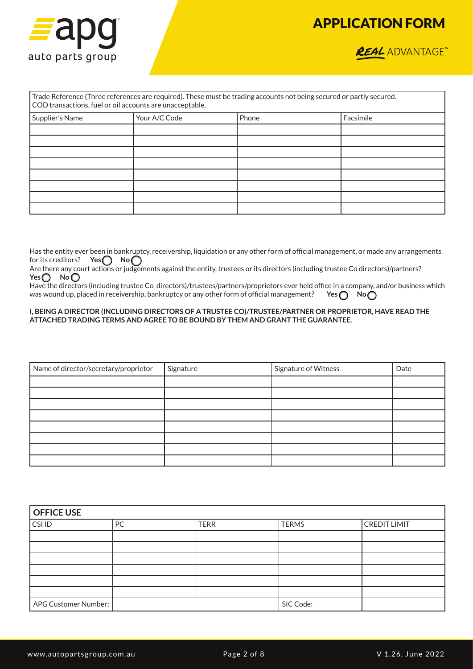



| Trade Reference (Three references are required). These must be trading accounts not being secured or partly secured.<br>COD transactions, fuel or oil accounts are unacceptable. |               |       |           |  |  |  |
|----------------------------------------------------------------------------------------------------------------------------------------------------------------------------------|---------------|-------|-----------|--|--|--|
| Supplier's Name                                                                                                                                                                  | Your A/C Code | Phone | Facsimile |  |  |  |
|                                                                                                                                                                                  |               |       |           |  |  |  |
|                                                                                                                                                                                  |               |       |           |  |  |  |
|                                                                                                                                                                                  |               |       |           |  |  |  |
|                                                                                                                                                                                  |               |       |           |  |  |  |
|                                                                                                                                                                                  |               |       |           |  |  |  |
|                                                                                                                                                                                  |               |       |           |  |  |  |
|                                                                                                                                                                                  |               |       |           |  |  |  |
|                                                                                                                                                                                  |               |       |           |  |  |  |

Has the entity ever been in bankruptcy, receivership, liquidation or any other form of official management, or made any arrangements for its creditors? **Yes** No

Are there any court actions or judgements against the entity, trustees or its directors (including trustee Co directors)/partners? Yes<sup>O</sup> No<sup>O</sup>

Have the directors (including trustee Co directors)/trustees/partners/proprietors ever held office in a company, and/or business which was wound up, placed in receivership, bankruptcy or any other form of official management? **Yes @ No** 

#### **I, BEING A DIRECTOR (INCLUDING DIRECTORS OF A TRUSTEE CO)/TRUSTEE/PARTNER OR PROPRIETOR, HAVE READ THE ATTACHED TRADING TERMS AND AGREE TO BE BOUND BY THEM AND GRANT THE GUARANTEE.**

| Name of director/secretary/proprietor | Signature | Signature of Witness | Date |
|---------------------------------------|-----------|----------------------|------|
|                                       |           |                      |      |
|                                       |           |                      |      |
|                                       |           |                      |      |
|                                       |           |                      |      |
|                                       |           |                      |      |
|                                       |           |                      |      |
|                                       |           |                      |      |
|                                       |           |                      |      |

| <b>OFFICE USE</b>    |    |             |              |                     |  |
|----------------------|----|-------------|--------------|---------------------|--|
| <b>CSIID</b>         | PC | <b>TERR</b> | <b>TERMS</b> | <b>CREDIT LIMIT</b> |  |
|                      |    |             |              |                     |  |
|                      |    |             |              |                     |  |
|                      |    |             |              |                     |  |
|                      |    |             |              |                     |  |
|                      |    |             |              |                     |  |
|                      |    |             |              |                     |  |
| APG Customer Number: |    |             | SIC Code:    |                     |  |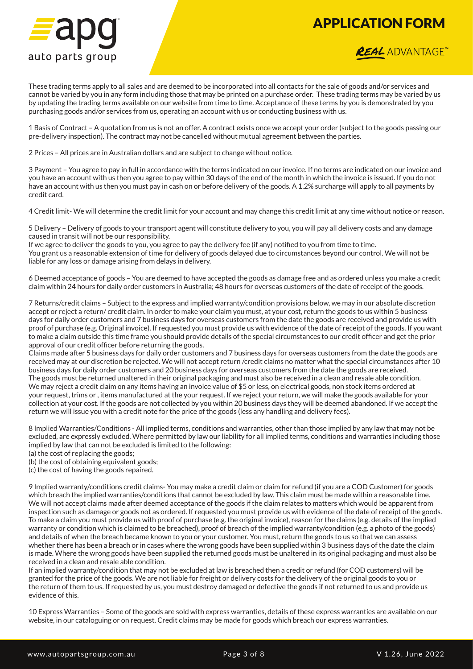

### **REAL** ADVANTAGE<sup>\*\*</sup>

These trading terms apply to all sales and are deemed to be incorporated into all contacts for the sale of goods and/or services and cannot be varied by you in any form including those that may be printed on a purchase order. These trading terms may be varied by us by updating the trading terms available on our website from time to time. Acceptance of these terms by you is demonstrated by you purchasing goods and/or services from us, operating an account with us or conducting business with us.

1 Basis of Contract – A quotation from us is not an offer. A contract exists once we accept your order (subject to the goods passing our pre-delivery inspection). The contract may not be cancelled without mutual agreement between the parties.

2 Prices – All prices are in Australian dollars and are subject to change without notice.

3 Payment – You agree to pay in full in accordance with the terms indicated on our invoice. If no terms are indicated on our invoice and you have an account with us then you agree to pay within 30 days of the end of the month in which the invoice is issued. If you do not have an account with us then you must pay in cash on or before delivery of the goods. A 1.2% surcharge will apply to all payments by credit card.

4 Credit limit- We will determine the credit limit for your account and may change this credit limit at any time without notice or reason.

5 Delivery – Delivery of goods to your transport agent will constitute delivery to you, you will pay all delivery costs and any damage caused in transit will not be our responsibility.

If we agree to deliver the goods to you, you agree to pay the delivery fee (if any) notified to you from time to time. You grant us a reasonable extension of time for delivery of goods delayed due to circumstances beyond our control. We will not be liable for any loss or damage arising from delays in delivery.

6 Deemed acceptance of goods – You are deemed to have accepted the goods as damage free and as ordered unless you make a credit claim within 24 hours for daily order customers in Australia; 48 hours for overseas customers of the date of receipt of the goods.

7 Returns/credit claims – Subject to the express and implied warranty/condition provisions below, we may in our absolute discretion accept or reject a return/ credit claim. In order to make your claim you must, at your cost, return the goods to us within 5 business days for daily order customers and 7 business days for overseas customers from the date the goods are received and provide us with proof of purchase (e.g. Original invoice). If requested you must provide us with evidence of the date of receipt of the goods. If you want to make a claim outside this time frame you should provide details of the special circumstances to our credit officer and get the prior approval of our credit officer before returning the goods.

Claims made after 5 business days for daily order customers and 7 business days for overseas customers from the date the goods are received may at our discretion be rejected. We will not accept return /credit claims no matter what the special circumstances after 10 business days for daily order customers and 20 business days for overseas customers from the date the goods are received. The goods must be returned unaltered in their original packaging and must also be received in a clean and resale able condition. We may reject a credit claim on any items having an invoice value of \$5 or less, on electrical goods, non stock items ordered at your request, trims or , items manufactured at the your request. If we reject your return, we will make the goods available for your collection at your cost. If the goods are not collected by you within 20 business days they will be deemed abandoned. If we accept the return we will issue you with a credit note for the price of the goods (less any handling and delivery fees).

8 Implied Warranties/Conditions - All implied terms, conditions and warranties, other than those implied by any law that may not be excluded, are expressly excluded. Where permitted by law our liability for all implied terms, conditions and warranties including those implied by law that can not be excluded is limited to the following:

(a) the cost of replacing the goods;

(b) the cost of obtaining equivalent goods;

(c) the cost of having the goods repaired.

9 Implied warranty/conditions credit claims- You may make a credit claim or claim for refund (if you are a COD Customer) for goods which breach the implied warranties/conditions that cannot be excluded by law. This claim must be made within a reasonable time. We will not accept claims made after deemed acceptance of the goods if the claim relates to matters which would be apparent from inspection such as damage or goods not as ordered. If requested you must provide us with evidence of the date of receipt of the goods. To make a claim you must provide us with proof of purchase (e.g. the original invoice), reason for the claims (e.g. details of the implied warranty or condition which is claimed to be breached), proof of breach of the implied warranty/condition (e.g. a photo of the goods) and details of when the breach became known to you or your customer. You must, return the goods to us so that we can assess whether there has been a breach or in cases where the wrong goods have been supplied within 3 business days of the date the claim is made. Where the wrong goods have been supplied the returned goods must be unaltered in its original packaging and must also be received in a clean and resale able condition.

If an implied warranty/condition that may not be excluded at law is breached then a credit or refund (for COD customers) will be granted for the price of the goods. We are not liable for freight or delivery costs for the delivery of the original goods to you or the return of them to us. If requested by us, you must destroy damaged or defective the goods if not returned to us and provide us evidence of this.

10 Express Warranties – Some of the goods are sold with express warranties, details of these express warranties are available on our website, in our cataloguing or on request. Credit claims may be made for goods which breach our express warranties.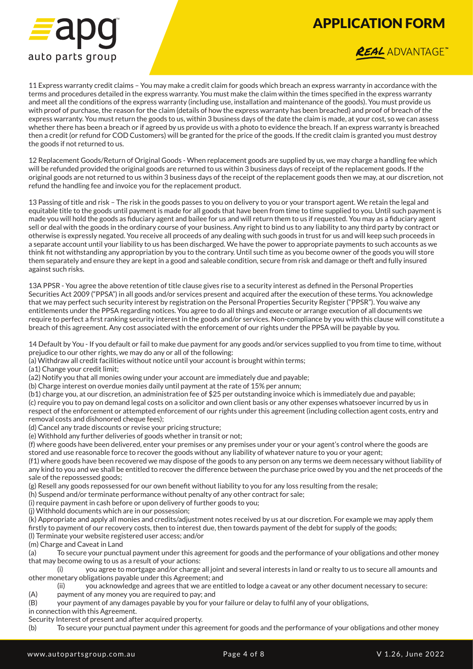

#### **REAL** ADVANTAGE<sup>\*\*</sup>

11 Express warranty credit claims – You may make a credit claim for goods which breach an express warranty in accordance with the terms and procedures detailed in the express warranty. You must make the claim within the times specified in the express warranty and meet all the conditions of the express warranty (including use, installation and maintenance of the goods). You must provide us with proof of purchase, the reason for the claim (details of how the express warranty has been breached) and proof of breach of the express warranty. You must return the goods to us, within 3 business days of the date the claim is made, at your cost, so we can assess whether there has been a breach or if agreed by us provide us with a photo to evidence the breach. If an express warranty is breached then a credit (or refund for COD Customers) will be granted for the price of the goods. If the credit claim is granted you must destroy the goods if not returned to us.

12 Replacement Goods/Return of Original Goods - When replacement goods are supplied by us, we may charge a handling fee which will be refunded provided the original goods are returned to us within 3 business days of receipt of the replacement goods. If the original goods are not returned to us within 3 business days of the receipt of the replacement goods then we may, at our discretion, not refund the handling fee and invoice you for the replacement product.

13 Passing of title and risk – The risk in the goods passes to you on delivery to you or your transport agent. We retain the legal and equitable title to the goods until payment is made for all goods that have been from time to time supplied to you. Until such payment is made you will hold the goods as fiduciary agent and bailee for us and will return them to us if requested. You may as a fiduciary agent sell or deal with the goods in the ordinary course of your business. Any right to bind us to any liability to any third party by contract or otherwise is expressly negated. You receive all proceeds of any dealing with such goods in trust for us and will keep such proceeds in a separate account until your liability to us has been discharged. We have the power to appropriate payments to such accounts as we think fit not withstanding any appropriation by you to the contrary. Until such time as you become owner of the goods you will store them separately and ensure they are kept in a good and saleable condition, secure from risk and damage or theft and fully insured against such risks.

13A PPSR - You agree the above retention of title clause gives rise to a security interest as defined in the Personal Properties Securities Act 2009 ("PPSA") in all goods and/or services present and acquired after the execution of these terms. You acknowledge that we may perfect such security interest by registration on the Personal Properties Security Register ("PPSR"). You waive any entitlements under the PPSA regarding notices. You agree to do all things and execute or arrange execution of all documents we require to perfect a first ranking security interest in the goods and/or services. Non-compliance by you with this clause will constitute a breach of this agreement. Any cost associated with the enforcement of our rights under the PPSA will be payable by you.

14 Default by You - If you default or fail to make due payment for any goods and/or services supplied to you from time to time, without prejudice to our other rights, we may do any or all of the following:

(a) Withdraw all credit facilities without notice until your account is brought within terms;

(a1) Change your credit limit;

- (a2) Notify you that all monies owing under your account are immediately due and payable;
- (b) Charge interest on overdue monies daily until payment at the rate of 15% per annum;

(b1) charge you, at our discretion, an administration fee of \$25 per outstanding invoice which is immediately due and payable; (c) require you to pay on demand legal costs on a solicitor and own client basis or any other expenses whatsoever incurred by us in respect of the enforcement or attempted enforcement of our rights under this agreement (including collection agent costs, entry and removal costs and dishonored cheque fees);

(d) Cancel any trade discounts or revise your pricing structure;

(e) Withhold any further deliveries of goods whether in transit or not;

(f) where goods have been delivered, enter your premises or any premises under your or your agent's control where the goods are stored and use reasonable force to recover the goods without any liability of whatever nature to you or your agent;

(f1) where goods have been recovered we may dispose of the goods to any person on any terms we deem necessary without liability of any kind to you and we shall be entitled to recover the difference between the purchase price owed by you and the net proceeds of the sale of the repossessed goods;

(g) Resell any goods repossessed for our own benefit without liability to you for any loss resulting from the resale;

(h) Suspend and/or terminate performance without penalty of any other contract for sale;

(i) require payment in cash before or upon delivery of further goods to you;

(j) Withhold documents which are in our possession;

(k) Appropriate and apply all monies and credits/adjustment notes received by us at our discretion. For example we may apply them firstly to payment of our recovery costs, then to interest due, then towards payment of the debt for supply of the goods; (l) Terminate your website registered user access; and/or

(m) Charge and Caveat in Land

(a) To secure your punctual payment under this agreement for goods and the performance of your obligations and other money that may become owing to us as a result of your actions:

(i) you agree to mortgage and/or charge all joint and several interests in land or realty to us to secure all amounts and other monetary obligations payable under this Agreement; and

you acknowledge and agrees that we are entitled to lodge a caveat or any other document necessary to secure:

(A) payment of any money you are required to pay; and

(B) your payment of any damages payable by you for your failure or delay to fulfil any of your obligations,

in connection with this Agreement.

Security Interest of present and after acquired property.

(b) To secure your punctual payment under this agreement for goods and the performance of your obligations and other money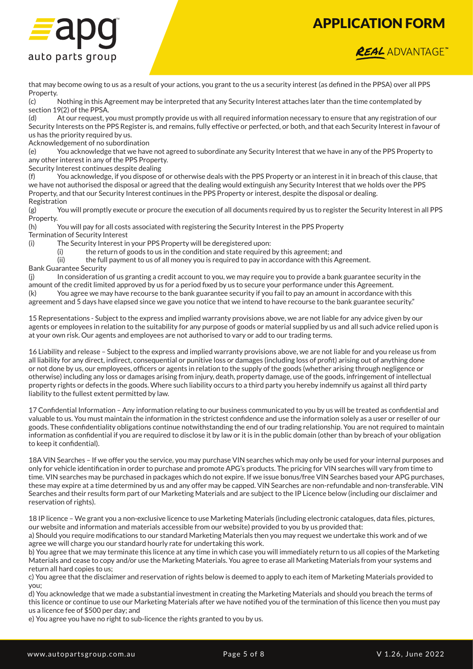



that may become owing to us as a result of your actions, you grant to the us a security interest (as defined in the PPSA) over all PPS Property.

(c) Nothing in this Agreement may be interpreted that any Security Interest attaches later than the time contemplated by section 19(2) of the PPSA.

(d) At our request, you must promptly provide us with all required information necessary to ensure that any registration of our Security Interests on the PPS Register is, and remains, fully effective or perfected, or both, and that each Security Interest in favour of us has the priority required by us.

Acknowledgement of no subordination

(e) You acknowledge that we have not agreed to subordinate any Security Interest that we have in any of the PPS Property to any other interest in any of the PPS Property.

Security Interest continues despite dealing

(f) You acknowledge, if you dispose of or otherwise deals with the PPS Property or an interest in it in breach of this clause, that we have not authorised the disposal or agreed that the dealing would extinguish any Security Interest that we holds over the PPS Property, and that our Security Interest continues in the PPS Property or interest, despite the disposal or dealing. Registration

(g) You will promptly execute or procure the execution of all documents required by us to register the Security Interest in all PPS Property.

(h) You will pay for all costs associated with registering the Security Interest in the PPS Property Termination of Security Interest

(i) The Security Interest in your PPS Property will be deregistered upon:

(i) the return of goods to us in the condition and state required by this agreement; and

(ii) the full payment to us of all money you is required to pay in accordance with this Agreement. Bank Guarantee Security

(j) In consideration of us granting a credit account to you, we may require you to provide a bank guarantee security in the amount of the credit limited approved by us for a period fixed by us to secure your performance under this Agreement. (k) You agree we may have recourse to the bank guarantee security if you fail to pay an amount in accordance with this agreement and 5 days have elapsed since we gave you notice that we intend to have recourse to the bank guarantee security."

15 Representations - Subject to the express and implied warranty provisions above, we are not liable for any advice given by our agents or employees in relation to the suitability for any purpose of goods or material supplied by us and all such advice relied upon is at your own risk. Our agents and employees are not authorised to vary or add to our trading terms.

16 Liability and release – Subject to the express and implied warranty provisions above, we are not liable for and you release us from all liability for any direct, indirect, consequential or punitive loss or damages (including loss of profit) arising out of anything done or not done by us, our employees, officers or agents in relation to the supply of the goods (whether arising through negligence or otherwise) including any loss or damages arising from injury, death, property damage, use of the goods, infringement of intellectual property rights or defects in the goods. Where such liability occurs to a third party you hereby indemnify us against all third party liability to the fullest extent permitted by law.

17 Confidential Information – Any information relating to our business communicated to you by us will be treated as confidential and valuable to us. You must maintain the information in the strictest confidence and use the information solely as a user or reseller of our goods. These confidentiality obligations continue notwithstanding the end of our trading relationship. You are not required to maintain information as confidential if you are required to disclose it by law or it is in the public domain (other than by breach of your obligation to keep it confidential).

18A VIN Searches – If we offer you the service, you may purchase VIN searches which may only be used for your internal purposes and only for vehicle identification in order to purchase and promote APG's products. The pricing for VIN searches will vary from time to time. VIN searches may be purchased in packages which do not expire. If we issue bonus/free VIN Searches based your APG purchases, these may expire at a time determined by us and any offer may be capped. VIN Searches are non-refundable and non-transferable. VIN Searches and their results form part of our Marketing Materials and are subject to the IP Licence below (including our disclaimer and reservation of rights).

18 IP licence – We grant you a non-exclusive licence to use Marketing Materials (including electronic catalogues, data files, pictures, our website and information and materials accessible from our website) provided to you by us provided that: a) Should you require modifications to our standard Marketing Materials then you may request we undertake this work and of we

agree we will charge you our standard hourly rate for undertaking this work. b) You agree that we may terminate this licence at any time in which case you will immediately return to us all copies of the Marketing Materials and cease to copy and/or use the Marketing Materials. You agree to erase all Marketing Materials from your systems and return all hard copies to us;

c) You agree that the disclaimer and reservation of rights below is deemed to apply to each item of Marketing Materials provided to you;

d) You acknowledge that we made a substantial investment in creating the Marketing Materials and should you breach the terms of this licence or continue to use our Marketing Materials after we have notified you of the termination of this licence then you must pay us a licence fee of \$500 per day; and

e) You agree you have no right to sub-licence the rights granted to you by us.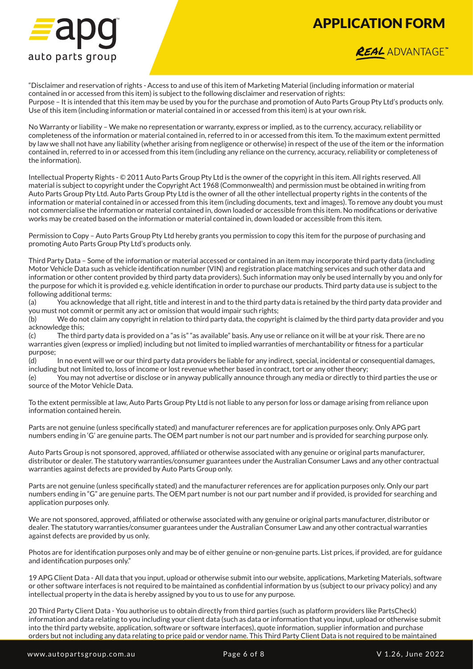

### **REAL** ADVANTAGE<sup>®</sup>

"Disclaimer and reservation of rights - Access to and use of this item of Marketing Material (including information or material contained in or accessed from this item) is subject to the following disclaimer and reservation of rights: Purpose – It is intended that this item may be used by you for the purchase and promotion of Auto Parts Group Pty Ltd's products only. Use of this item (including information or material contained in or accessed from this item) is at your own risk.

No Warranty or liability – We make no representation or warranty, express or implied, as to the currency, accuracy, reliability or completeness of the information or material contained in, referred to in or accessed from this item. To the maximum extent permitted by law we shall not have any liability (whether arising from negligence or otherwise) in respect of the use of the item or the information contained in, referred to in or accessed from this item (including any reliance on the currency, accuracy, reliability or completeness of the information).

Intellectual Property Rights - © 2011 Auto Parts Group Pty Ltd is the owner of the copyright in this item. All rights reserved. All material is subject to copyright under the Copyright Act 1968 (Commonwealth) and permission must be obtained in writing from Auto Parts Group Pty Ltd. Auto Parts Group Pty Ltd is the owner of all the other intellectual property rights in the contents of the information or material contained in or accessed from this item (including documents, text and images). To remove any doubt you must not commercialise the information or material contained in, down loaded or accessible from this item. No modifications or derivative works may be created based on the information or material contained in, down loaded or accessible from this item.

Permission to Copy – Auto Parts Group Pty Ltd hereby grants you permission to copy this item for the purpose of purchasing and promoting Auto Parts Group Pty Ltd's products only.

Third Party Data – Some of the information or material accessed or contained in an item may incorporate third party data (including Motor Vehicle Data such as vehicle identification number (VIN) and registration place matching services and such other data and information or other content provided by third party data providers). Such information may only be used internally by you and only for the purpose for which it is provided e.g. vehicle identification in order to purchase our products. Third party data use is subject to the following additional terms:

(a) You acknowledge that all right, title and interest in and to the third party data is retained by the third party data provider and you must not commit or permit any act or omission that would impair such rights;

(b) We do not claim any copyright in relation to third party data, the copyright is claimed by the third party data provider and you acknowledge this;

(c) The third party data is provided on a "as is" "as available" basis. Any use or reliance on it will be at your risk. There are no warranties given (express or implied) including but not limited to implied warranties of merchantability or fitness for a particular purpose;

(d) In no event will we or our third party data providers be liable for any indirect, special, incidental or consequential damages, including but not limited to, loss of income or lost revenue whether based in contract, tort or any other theory;

(e) You may not advertise or disclose or in anyway publically announce through any media or directly to third parties the use or source of the Motor Vehicle Data.

To the extent permissible at law, Auto Parts Group Pty Ltd is not liable to any person for loss or damage arising from reliance upon information contained herein.

Parts are not genuine (unless specifically stated) and manufacturer references are for application purposes only. Only APG part numbers ending in 'G' are genuine parts. The OEM part number is not our part number and is provided for searching purpose only.

Auto Parts Group is not sponsored, approved, affiliated or otherwise associated with any genuine or original parts manufacturer, distributor or dealer. The statutory warranties/consumer guarantees under the Australian Consumer Laws and any other contractual warranties against defects are provided by Auto Parts Group only.

Parts are not genuine (unless specifically stated) and the manufacturer references are for application purposes only. Only our part numbers ending in "G" are genuine parts. The OEM part number is not our part number and if provided, is provided for searching and application purposes only.

We are not sponsored, approved, affiliated or otherwise associated with any genuine or original parts manufacturer, distributor or dealer. The statutory warranties/consumer guarantees under the Australian Consumer Law and any other contractual warranties against defects are provided by us only.

Photos are for identification purposes only and may be of either genuine or non-genuine parts. List prices, if provided, are for guidance and identification purposes only."

19 APG Client Data - All data that you input, upload or otherwise submit into our website, applications, Marketing Materials, software or other software interfaces is not required to be maintained as confidential information by us (subject to our privacy policy) and any intellectual property in the data is hereby assigned by you to us to use for any purpose.

20 Third Party Client Data - You authorise us to obtain directly from third parties (such as platform providers like PartsCheck) information and data relating to you including your client data (such as data or information that you input, upload or otherwise submit into the third party website, application, software or software interfaces), quote information, supplier information and purchase orders but not including any data relating to price paid or vendor name. This Third Party Client Data is not required to be maintained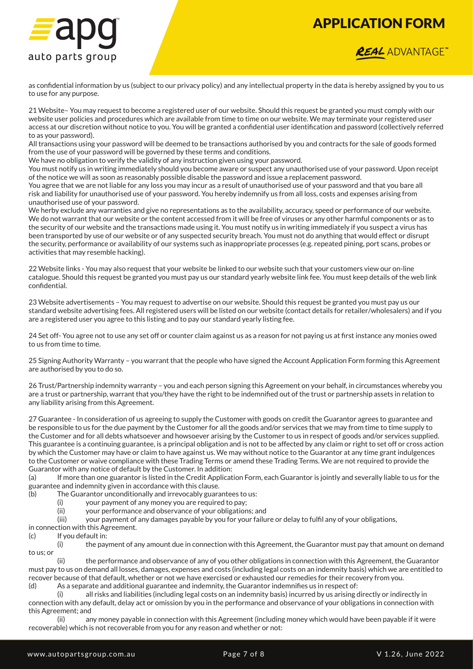

#### **REAL** ADVANTAGE<sup>®</sup>

as confidential information by us (subject to our privacy policy) and any intellectual property in the data is hereby assigned by you to us to use for any purpose.

21 Website– You may request to become a registered user of our website. Should this request be granted you must comply with our website user policies and procedures which are available from time to time on our website. We may terminate your registered user access at our discretion without notice to you. You will be granted a confidential user identification and password (collectively referred to as your password).

All transactions using your password will be deemed to be transactions authorised by you and contracts for the sale of goods formed from the use of your password will be governed by these terms and conditions.

We have no obligation to verify the validity of any instruction given using your password.

You must notify us in writing immediately should you become aware or suspect any unauthorised use of your password. Upon receipt of the notice we will as soon as reasonably possible disable the password and issue a replacement password.

You agree that we are not liable for any loss you may incur as a result of unauthorised use of your password and that you bare all risk and liability for unauthorised use of your password. You hereby indemnify us from all loss, costs and expenses arising from unauthorised use of your password.

We herby exclude any warranties and give no representations as to the availability, accuracy, speed or performance of our website. We do not warrant that our website or the content accessed from it will be free of viruses or any other harmful components or as to the security of our website and the transactions made using it. You must notify us in writing immediately if you suspect a virus has been transported by use of our website or of any suspected security breach. You must not do anything that would effect or disrupt the security, performance or availability of our systems such as inappropriate processes (e.g. repeated pining, port scans, probes or activities that may resemble hacking).

22 Website links - You may also request that your website be linked to our website such that your customers view our on-line catalogue. Should this request be granted you must pay us our standard yearly website link fee. You must keep details of the web link confidential.

23 Website advertisements – You may request to advertise on our website. Should this request be granted you must pay us our standard website advertising fees. All registered users will be listed on our website (contact details for retailer/wholesalers) and if you are a registered user you agree to this listing and to pay our standard yearly listing fee.

24 Set off- You agree not to use any set off or counter claim against us as a reason for not paying us at first instance any monies owed to us from time to time.

25 Signing Authority Warranty – you warrant that the people who have signed the Account Application Form forming this Agreement are authorised by you to do so.

26 Trust/Partnership indemnity warranty – you and each person signing this Agreement on your behalf, in circumstances whereby you are a trust or partnership, warrant that you/they have the right to be indemnified out of the trust or partnership assets in relation to any liability arising from this Agreement.

27 Guarantee - In consideration of us agreeing to supply the Customer with goods on credit the Guarantor agrees to guarantee and be responsible to us for the due payment by the Customer for all the goods and/or services that we may from time to time supply to the Customer and for all debts whatsoever and howsoever arising by the Customer to us in respect of goods and/or services supplied. This guarantee is a continuing guarantee, is a principal obligation and is not to be affected by any claim or right to set off or cross action by which the Customer may have or claim to have against us. We may without notice to the Guarantor at any time grant indulgences to the Customer or waive compliance with these Trading Terms or amend these Trading Terms. We are not required to provide the Guarantor with any notice of default by the Customer. In addition:

(a) If more than one guarantor is listed in the Credit Application Form, each Guarantor is jointly and severally liable to us for the guarantee and indemnity given in accordance with this clause.

- (b) The Guarantor unconditionally and irrevocably guarantees to us:
	- (i) your payment of any money you are required to pay;
	- (ii) your performance and observance of your obligations; and

(iii) your payment of any damages payable by you for your failure or delay to fulfil any of your obligations,

- in connection with this Agreement.
- (c) If you default in:

(i) the payment of any amount due in connection with this Agreement, the Guarantor must pay that amount on demand to us; or

(ii) the performance and observance of any of you other obligations in connection with this Agreement, the Guarantor must pay to us on demand all losses, damages, expenses and costs (including legal costs on an indemnity basis) which we are entitled to recover because of that default, whether or not we have exercised or exhausted our remedies for their recovery from you.

(d) As a separate and additional guarantee and indemnity, the Guarantor indemnifies us in respect of:

(i) all risks and liabilities (including legal costs on an indemnity basis) incurred by us arising directly or indirectly in connection with any default, delay act or omission by you in the performance and observance of your obligations in connection with this Agreement; and

(ii) any money payable in connection with this Agreement (including money which would have been payable if it were recoverable) which is not recoverable from you for any reason and whether or not: